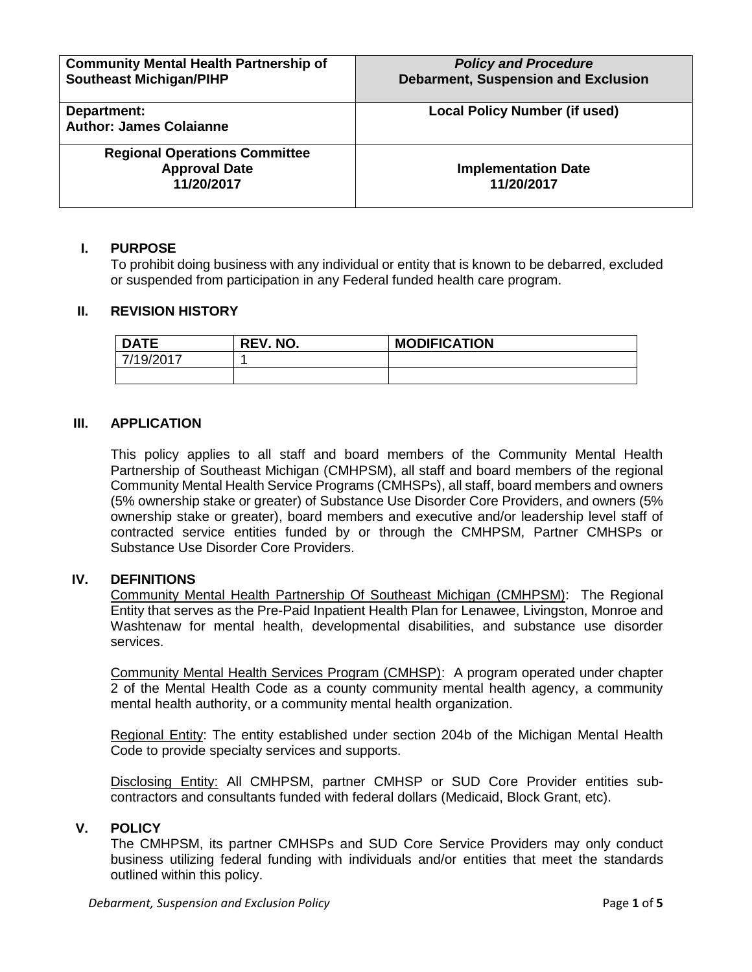| <b>Community Mental Health Partnership of</b><br><b>Southeast Michigan/PIHP</b> | <b>Policy and Procedure</b><br><b>Debarment, Suspension and Exclusion</b> |
|---------------------------------------------------------------------------------|---------------------------------------------------------------------------|
| Department:<br><b>Author: James Colaianne</b>                                   | <b>Local Policy Number (if used)</b>                                      |
| <b>Regional Operations Committee</b><br><b>Approval Date</b><br>11/20/2017      | <b>Implementation Date</b><br>11/20/2017                                  |

# **I. PURPOSE**

To prohibit doing business with any individual or entity that is known to be debarred, excluded or suspended from participation in any Federal funded health care program.

## **II. REVISION HISTORY**

| <b>DATE</b> | <b>REV. NO.</b> | <b>MODIFICATION</b> |
|-------------|-----------------|---------------------|
| 7/19/2017   |                 |                     |
|             |                 |                     |

#### **III. APPLICATION**

This policy applies to all staff and board members of the Community Mental Health Partnership of Southeast Michigan (CMHPSM), all staff and board members of the regional Community Mental Health Service Programs (CMHSPs), all staff, board members and owners (5% ownership stake or greater) of Substance Use Disorder Core Providers, and owners (5% ownership stake or greater), board members and executive and/or leadership level staff of contracted service entities funded by or through the CMHPSM, Partner CMHSPs or Substance Use Disorder Core Providers.

#### **IV. DEFINITIONS**

Community Mental Health Partnership Of Southeast Michigan (CMHPSM): The Regional Entity that serves as the Pre-Paid Inpatient Health Plan for Lenawee, Livingston, Monroe and Washtenaw for mental health, developmental disabilities, and substance use disorder services.

Community Mental Health Services Program (CMHSP): A program operated under chapter 2 of the Mental Health Code as a county community mental health agency, a community mental health authority, or a community mental health organization.

Regional Entity: The entity established under section 204b of the Michigan Mental Health Code to provide specialty services and supports.

Disclosing Entity: All CMHPSM, partner CMHSP or SUD Core Provider entities subcontractors and consultants funded with federal dollars (Medicaid, Block Grant, etc).

#### **V. POLICY**

The CMHPSM, its partner CMHSPs and SUD Core Service Providers may only conduct business utilizing federal funding with individuals and/or entities that meet the standards outlined within this policy.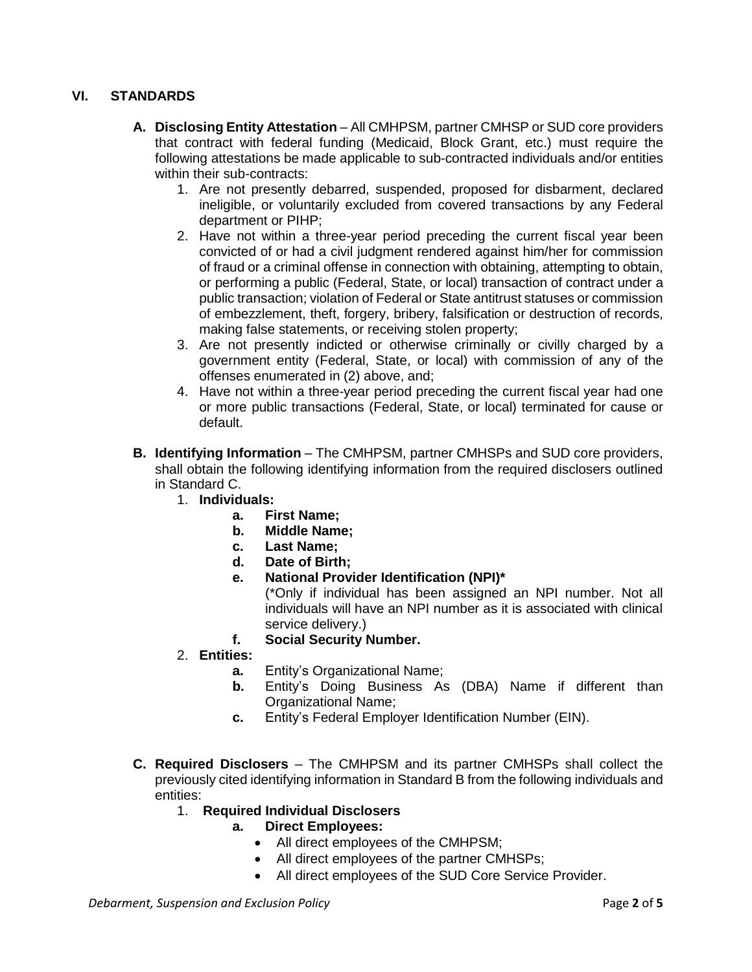# **VI. STANDARDS**

- **A. Disclosing Entity Attestation**  All CMHPSM, partner CMHSP or SUD core providers that contract with federal funding (Medicaid, Block Grant, etc.) must require the following attestations be made applicable to sub-contracted individuals and/or entities within their sub-contracts:
	- 1. Are not presently debarred, suspended, proposed for disbarment, declared ineligible, or voluntarily excluded from covered transactions by any Federal department or PIHP;
	- 2. Have not within a three-year period preceding the current fiscal year been convicted of or had a civil judgment rendered against him/her for commission of fraud or a criminal offense in connection with obtaining, attempting to obtain, or performing a public (Federal, State, or local) transaction of contract under a public transaction; violation of Federal or State antitrust statuses or commission of embezzlement, theft, forgery, bribery, falsification or destruction of records, making false statements, or receiving stolen property;
	- 3. Are not presently indicted or otherwise criminally or civilly charged by a government entity (Federal, State, or local) with commission of any of the offenses enumerated in (2) above, and;
	- 4. Have not within a three-year period preceding the current fiscal year had one or more public transactions (Federal, State, or local) terminated for cause or default.
- **B. Identifying Information** The CMHPSM, partner CMHSPs and SUD core providers, shall obtain the following identifying information from the required disclosers outlined in Standard C.
	- 1. **Individuals:**
		- **a. First Name;**
		- **b. Middle Name;**
		- **c. Last Name;**
		- **d. Date of Birth;**
		- **e. National Provider Identification (NPI)\***

(\*Only if individual has been assigned an NPI number. Not all individuals will have an NPI number as it is associated with clinical service delivery.)

- **f. Social Security Number.**
- 2. **Entities:**
	- **a.** Entity's Organizational Name;
	- **b.** Entity's Doing Business As (DBA) Name if different than Organizational Name;
	- **c.** Entity's Federal Employer Identification Number (EIN).
- **C. Required Disclosers** The CMHPSM and its partner CMHSPs shall collect the previously cited identifying information in Standard B from the following individuals and entities:
	- 1. **Required Individual Disclosers**
		- **a. Direct Employees:**
			- All direct employees of the CMHPSM;
			- All direct employees of the partner CMHSPs;
			- All direct employees of the SUD Core Service Provider.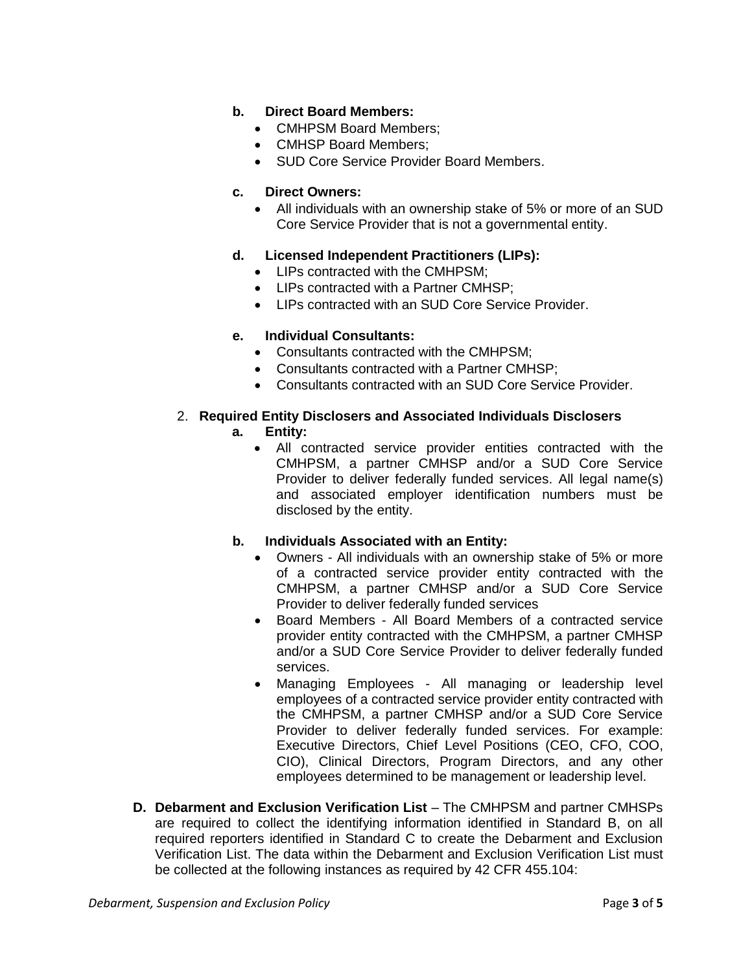# **b. Direct Board Members:**

- CMHPSM Board Members;
- CMHSP Board Members;
- SUD Core Service Provider Board Members.

#### **c. Direct Owners:**

• All individuals with an ownership stake of 5% or more of an SUD Core Service Provider that is not a governmental entity.

#### **d. Licensed Independent Practitioners (LIPs):**

- LIPs contracted with the CMHPSM:
- LIPs contracted with a Partner CMHSP;
- LIPs contracted with an SUD Core Service Provider.

#### **e. Individual Consultants:**

- Consultants contracted with the CMHPSM;
- Consultants contracted with a Partner CMHSP;
- Consultants contracted with an SUD Core Service Provider.

## 2. **Required Entity Disclosers and Associated Individuals Disclosers**

## **a. Entity:**

- All contracted service provider entities contracted with the CMHPSM, a partner CMHSP and/or a SUD Core Service Provider to deliver federally funded services. All legal name(s) and associated employer identification numbers must be disclosed by the entity.
- **b. Individuals Associated with an Entity:**
	- Owners All individuals with an ownership stake of 5% or more of a contracted service provider entity contracted with the CMHPSM, a partner CMHSP and/or a SUD Core Service Provider to deliver federally funded services
	- Board Members All Board Members of a contracted service provider entity contracted with the CMHPSM, a partner CMHSP and/or a SUD Core Service Provider to deliver federally funded services.
	- Managing Employees All managing or leadership level employees of a contracted service provider entity contracted with the CMHPSM, a partner CMHSP and/or a SUD Core Service Provider to deliver federally funded services. For example: Executive Directors, Chief Level Positions (CEO, CFO, COO, CIO), Clinical Directors, Program Directors, and any other employees determined to be management or leadership level.
- **D. Debarment and Exclusion Verification List** The CMHPSM and partner CMHSPs are required to collect the identifying information identified in Standard B, on all required reporters identified in Standard C to create the Debarment and Exclusion Verification List. The data within the Debarment and Exclusion Verification List must be collected at the following instances as required by 42 CFR 455.104: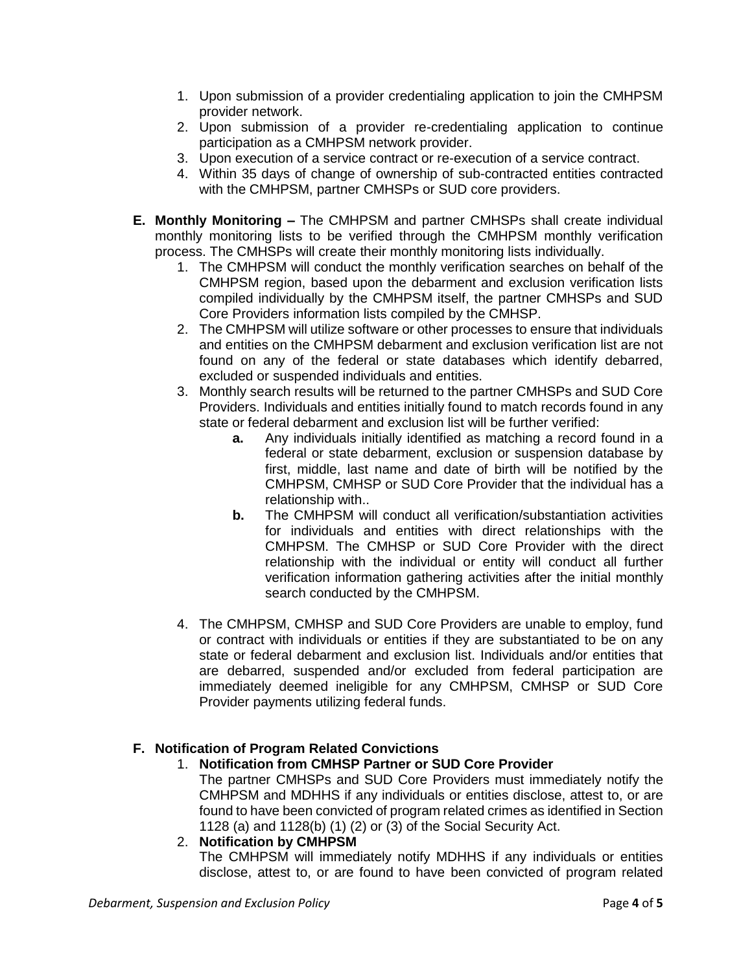- 1. Upon submission of a provider credentialing application to join the CMHPSM provider network.
- 2. Upon submission of a provider re-credentialing application to continue participation as a CMHPSM network provider.
- 3. Upon execution of a service contract or re-execution of a service contract.
- 4. Within 35 days of change of ownership of sub-contracted entities contracted with the CMHPSM, partner CMHSPs or SUD core providers.
- **E. Monthly Monitoring –** The CMHPSM and partner CMHSPs shall create individual monthly monitoring lists to be verified through the CMHPSM monthly verification process. The CMHSPs will create their monthly monitoring lists individually.
	- 1. The CMHPSM will conduct the monthly verification searches on behalf of the CMHPSM region, based upon the debarment and exclusion verification lists compiled individually by the CMHPSM itself, the partner CMHSPs and SUD Core Providers information lists compiled by the CMHSP.
	- 2. The CMHPSM will utilize software or other processes to ensure that individuals and entities on the CMHPSM debarment and exclusion verification list are not found on any of the federal or state databases which identify debarred, excluded or suspended individuals and entities.
	- 3. Monthly search results will be returned to the partner CMHSPs and SUD Core Providers. Individuals and entities initially found to match records found in any state or federal debarment and exclusion list will be further verified:
		- **a.** Any individuals initially identified as matching a record found in a federal or state debarment, exclusion or suspension database by first, middle, last name and date of birth will be notified by the CMHPSM, CMHSP or SUD Core Provider that the individual has a relationship with..
		- **b.** The CMHPSM will conduct all verification/substantiation activities for individuals and entities with direct relationships with the CMHPSM. The CMHSP or SUD Core Provider with the direct relationship with the individual or entity will conduct all further verification information gathering activities after the initial monthly search conducted by the CMHPSM.
	- 4. The CMHPSM, CMHSP and SUD Core Providers are unable to employ, fund or contract with individuals or entities if they are substantiated to be on any state or federal debarment and exclusion list. Individuals and/or entities that are debarred, suspended and/or excluded from federal participation are immediately deemed ineligible for any CMHPSM, CMHSP or SUD Core Provider payments utilizing federal funds.

# **F. Notification of Program Related Convictions**

# 1. **Notification from CMHSP Partner or SUD Core Provider**

The partner CMHSPs and SUD Core Providers must immediately notify the CMHPSM and MDHHS if any individuals or entities disclose, attest to, or are found to have been convicted of program related crimes as identified in Section 1128 (a) and 1128(b) (1) (2) or (3) of the Social Security Act.

# 2. **Notification by CMHPSM**

The CMHPSM will immediately notify MDHHS if any individuals or entities disclose, attest to, or are found to have been convicted of program related